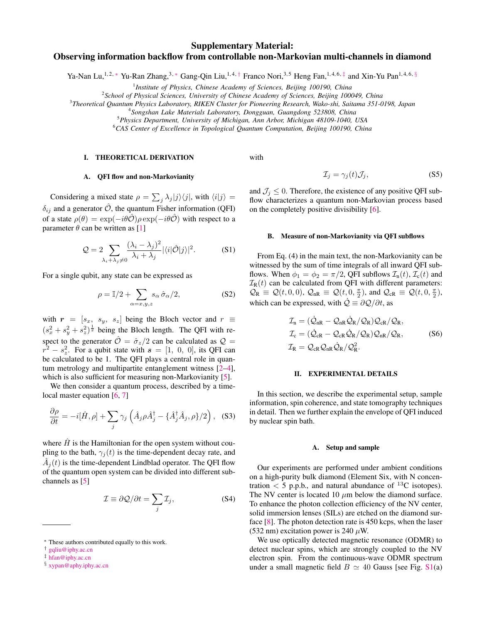# Supplementary Material: Observing information backflow from controllable non-Markovian multi-channels in diamond

Ya-Nan Lu,<sup>1,2,[∗](#page-0-0)</sup> Yu-Ran Zhang,<sup>3,∗</sup> Gang-Qin Liu,<sup>1,4,[†](#page-0-1)</sup> Franco Nori,<sup>3,5</sup> Heng Fan,<sup>1,4,6,[‡](#page-0-2)</sup> and Xin-Yu Pan<sup>1,4,6, [§](#page-0-3)</sup>

1 *Institute of Physics, Chinese Academy of Sciences, Beijing 100190, China*

2 *School of Physical Sciences, University of Chinese Academy of Sciences, Beijing 100049, China*

3 *Theoretical Quantum Physics Laboratory, RIKEN Cluster for Pioneering Research, Wako-shi, Saitama 351-0198, Japan*

<sup>5</sup>*Physics Department, University of Michigan, Ann Arbor, Michigan 48109-1040, USA*

<sup>6</sup>*CAS Center of Excellence in Topological Quantum Computation, Beijing 100190, China*

## I. THEORETICAL DERIVATION

with

# A. QFI flow and non-Markovianity

Considering a mixed state  $\rho = \sum_j \lambda_j |j\rangle \langle j|$ , with  $\langle i|j\rangle =$  $\delta_{ij}$  and a generator  $\hat{\mathcal{O}}$ , the quantum Fisher information (QFI) of a state  $\rho(\theta) = \exp(-i\theta\hat{\mathcal{O}})\rho \exp(-i\theta\hat{\mathcal{O}})$  with respect to a parameter  $\theta$  can be written as [[1\]](#page-5-0)

$$
\mathcal{Q} = 2 \sum_{\lambda_i + \lambda_j \neq 0} \frac{(\lambda_i - \lambda_j)^2}{\lambda_i + \lambda_j} |\langle i|\hat{\mathcal{O}}|j\rangle|^2.
$$
 (S1)

For a single qubit, any state can be expressed as

$$
\rho = \mathbb{I}/2 + \sum_{\alpha = x, y, z} s_{\alpha} \hat{\sigma}_{\alpha}/2, \tag{S2}
$$

with  $r = [s_x, s_y, s_z]$  being the Bloch vector and  $r \equiv$  $(s_x^2 + s_y^2 + s_z^2)^{\frac{1}{2}}$  being the Bloch length. The QFI with respect to the generator  $\hat{\mathcal{O}} = \hat{\sigma}_z/2$  can be calculated as  $\mathcal{Q} =$  $r^2 - s_z^2$ . For a qubit state with  $s = [1, 0, 0]$ , its QFI can be calculated to be 1. The QFI plays a central role in quantum metrology and multipartite entanglement witness [\[2](#page-5-1)[–4](#page-5-2)], which is also sufficient for measuring non-Markovianity [[5\]](#page-5-3).

We then consider a quantum process, described by a time-local master equation [\[6](#page-5-4), [7\]](#page-5-5)

$$
\frac{\partial \rho}{\partial t} = -i[\hat{H}, \rho] + \sum_{j} \gamma_j \left( \hat{A}_j \rho \hat{A}_j^{\dagger} - {\hat{A}_j^{\dagger} \hat{A}_j, \rho} / 2 \right), \quad (S3)
$$

where  $\hat{H}$  is the Hamiltonian for the open system without coupling to the bath,  $\gamma_i(t)$  is the time-dependent decay rate, and  $\hat{A}_j(t)$  is the time-dependent Lindblad operator. The QFI flow of the quantum open system can be divided into different subchannels as [\[5](#page-5-3)]

$$
\mathcal{I} \equiv \partial \mathcal{Q}/\partial t = \sum_{j} \mathcal{I}_{j},\tag{S4}
$$

and  $\mathcal{J}_i \leq 0$ . Therefore, the existence of any positive QFI subflow characterizes a quantum non-Markovian process based on the completely positive divisibility [\[6](#page-5-4)].

 $\mathcal{I}_i = \gamma_i(t) \mathcal{J}_i,$  (S5)

### B. Measure of non-Markovianity via QFI subflows

From Eq. (4) in the main text, the non-Markovianity can be witnessed by the sum of time integrals of all inward QFI subflows. When  $\phi_1 = \phi_2 = \pi/2$ , QFI subflows  $\mathcal{I}_n(t)$ ,  $\mathcal{I}_c(t)$  and  $\mathcal{I}_{R}(t)$  can be calculated from QFI with different parameters:  $\mathcal{Q}_R \equiv \mathcal{Q}(t,0,0), \mathcal{Q}_{nR} \equiv \mathcal{Q}(t,0,\frac{\pi}{2}),$  and  $\mathcal{Q}_{cR} \equiv \mathcal{Q}(t,0,\frac{\pi}{2}),$ which can be expressed, with  $\dot{Q} \equiv \partial Q/\partial t$ , as

$$
\mathcal{I}_{n} = (\dot{\mathcal{Q}}_{nR} - \mathcal{Q}_{nR}\dot{\mathcal{Q}}_{R}/\mathcal{Q}_{R})\mathcal{Q}_{cR}/\mathcal{Q}_{R},
$$
\n
$$
\mathcal{I}_{c} = (\dot{\mathcal{Q}}_{cR} - \mathcal{Q}_{cR}\dot{\mathcal{Q}}_{R}/\mathcal{Q}_{R})\mathcal{Q}_{nR}/\mathcal{Q}_{R},
$$
\n
$$
\mathcal{I}_{R} = \mathcal{Q}_{cR}\mathcal{Q}_{nR}\dot{\mathcal{Q}}_{R}/\mathcal{Q}_{R}^{2}.
$$
\n(S6)

### II. EXPERIMENTAL DETAILS

In this section, we describe the experimental setup, sample information, spin coherence, and state tomography techniques in detail. Then we further explain the envelope of QFI induced by nuclear spin bath.

#### A. Setup and sample

Our experiments are performed under ambient conditions on a high-purity bulk diamond (Element Six, with N concentration  $\langle$  5 p.p.b., and natural abundance of <sup>13</sup>C isotopes). The NV center is located 10 *µ*m below the diamond surface. To enhance the photon collection efficiency of the NV center, solid immersion lenses (SILs) are etched on the diamond surface [\[8\]](#page-5-6). The photon detection rate is 450 kcps, when the laser (532 nm) excitation power is 240  $\mu$ W.

We use optically detected magnetic resonance (ODMR) to detect nuclear spins, which are strongly coupled to the NV electron spin. From the continuous-wave ODMR spectrum under a small magnetic field *B*  $\simeq$  40 Gauss [see Fig. [S1](#page-1-0)(a)

<sup>4</sup> *Songshan Lake Materials Laboratory, Dongguan, Guangdong 523808, China*

<span id="page-0-0"></span>*<sup>∗</sup>* These authors contributed equally to this work.

<span id="page-0-1"></span>*<sup>†</sup>* [gqliu@iphy.ac.cn](mailto:gqliu@iphy.ac.cn)

<span id="page-0-2"></span>*<sup>‡</sup>* [hfan@iphy.ac.cn](mailto:hfan@iphy.ac.cn)

<span id="page-0-3"></span>*<sup>§</sup>* [xypan@aphy.iphy.ac.cn](mailto:xypan@aphy.iphy.ac.cn)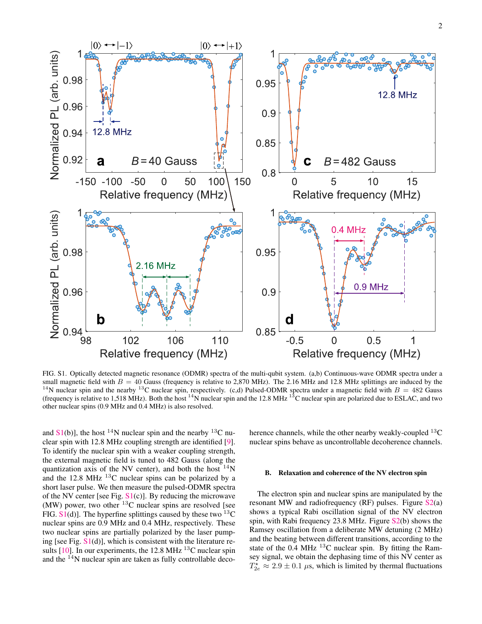

<span id="page-1-0"></span>FIG. S1. Optically detected magnetic resonance (ODMR) spectra of the multi-qubit system. (a,b) Continuous-wave ODMR spectra under a small magnetic field with  $B = 40$  Gauss (frequency is relative to 2,870 MHz). The 2.16 MHz and 12.8 MHz splittings are induced by the <sup>14</sup>N nuclear spin and the nearby <sup>13</sup>C nuclear spin, respectively. (c,d) Pulsed-ODMR spectra under a magnetic field with  $B = 482$  Gauss (frequency is relative to 1,518 MHz). Both the host  $^{14}$ N nuclear spin and the 12.8 MHz  $^{13}$ C nuclear spin are polarized due to ESLAC, and two other nuclear spins (0.9 MHz and 0.4 MHz) is also resolved.

and  $S1(b)$  $S1(b)$ ], the host <sup>14</sup>N nuclear spin and the nearby <sup>13</sup>C nuclear spin with 12.8 MHz coupling strength are identified [\[9](#page-5-7)]. To identify the nuclear spin with a weaker coupling strength, the external magnetic field is tuned to 482 Gauss (along the quantization axis of the NV center), and both the host  $^{14}N$ and the 12.8 MHz  $^{13}$ C nuclear spins can be polarized by a short laser pulse. We then measure the pulsed-ODMR spectra of the NV center [see Fig.  $S1(c)$  $S1(c)$ ]. By reducing the microwave (MW) power, two other  $^{13}$ C nuclear spins are resolved [see FIG.  $S1(d)$  $S1(d)$ ]. The hyperfine splittings caused by these two <sup>13</sup>C nuclear spins are 0.9 MHz and 0.4 MHz, respectively. These two nuclear spins are partially polarized by the laser pumping [see Fig.  $S1(d)$  $S1(d)$ ], which is consistent with the literature results  $[10]$  $[10]$ . In our experiments, the 12.8 MHz <sup>13</sup>C nuclear spin and the  $14N$  nuclear spin are taken as fully controllable decoherence channels, while the other nearby weakly-coupled  $^{13}C$ nuclear spins behave as uncontrollable decoherence channels.

# B. Relaxation and coherence of the NV electron spin

The electron spin and nuclear spins are manipulated by the resonant MW and radiofrequency (RF) pulses. Figure [S2](#page-2-0)(a) shows a typical Rabi oscillation signal of the NV electron spin, with Rabi frequency 23.8 MHz. Figure [S2](#page-2-0)(b) shows the Ramsey oscillation from a deliberate MW detuning (2 MHz) and the beating between different transitions, according to the state of the  $0.4$  MHz  $^{13}$ C nuclear spin. By fitting the Ramsey signal, we obtain the dephasing time of this NV center as  $T_{2e}^{\star} \approx 2.9 \pm 0.1 \,\mu$ s, which is limited by thermal fluctuations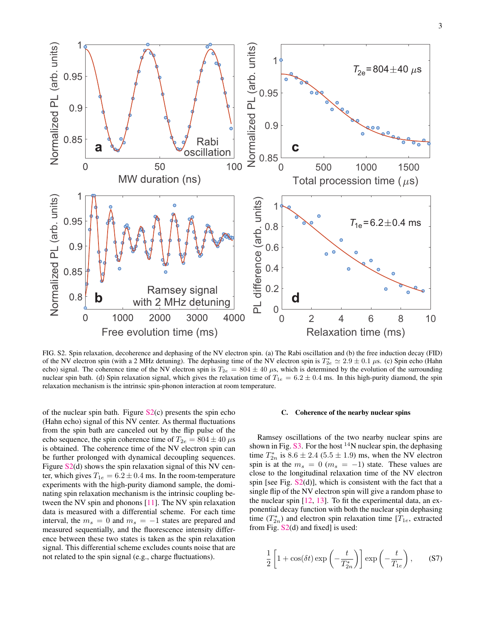

<span id="page-2-0"></span>FIG. S2. Spin relaxation, decoherence and dephasing of the NV electron spin. (a) The Rabi oscillation and (b) the free induction decay (FID) of the NV electron spin (with a 2 MHz detuning). The dephasing time of the NV electron spin is  $T_{2e}^* \approx 2.9 \pm 0.1 \,\mu$ s. (c) Spin echo (Hahn echo) signal. The coherence time of the NV electron spin is  $T_{2e} = 804 \pm 40 \,\mu s$ , which is determined by the evolution of the surrounding nuclear spin bath. (d) Spin relaxation signal, which gives the relaxation time of  $T_{1e} = 6.2 \pm 0.4$  ms. In this high-purity diamond, the spin relaxation mechanism is the intrinsic spin-phonon interaction at room temperature.

of the nuclear spin bath. Figure  $S_2(c)$  presents the spin echo (Hahn echo) signal of this NV center. As thermal fluctuations from the spin bath are canceled out by the flip pulse of the echo sequence, the spin coherence time of  $T_{2e} = 804 \pm 40 \,\mu s$ is obtained. The coherence time of the NV electron spin can be further prolonged with dynamical decoupling sequences. Figure [S2](#page-2-0)(d) shows the spin relaxation signal of this NV center, which gives  $T_{1e} = 6.2 \pm 0.4$  ms. In the room-temperature experiments with the high-purity diamond sample, the dominating spin relaxation mechanism is the intrinsic coupling between the NV spin and phonons [[11\]](#page-5-9). The NV spin relaxation data is measured with a differential scheme. For each time interval, the  $m_s = 0$  and  $m_s = -1$  states are prepared and measured sequentially, and the fluorescence intensity difference between these two states is taken as the spin relaxation signal. This differential scheme excludes counts noise that are not related to the spin signal (e.g., charge fluctuations).

#### C. Coherence of the nearby nuclear spins

Ramsey oscillations of the two nearby nuclear spins are shown in Fig.  $S3$ . For the host <sup>14</sup>N nuclear spin, the dephasing time  $T_{2n}^*$  is  $8.6 \pm 2.4$  (5.5  $\pm$  1.9) ms, when the NV electron spin is at the  $m_s = 0$  ( $m_s = -1$ ) state. These values are close to the longitudinal relaxation time of the NV electron spin [see Fig.  $S2(d)$  $S2(d)$ ], which is consistent with the fact that a single flip of the NV electron spin will give a random phase to the nuclear spin [[12,](#page-5-10) [13\]](#page-5-11). To fit the experimental data, an exponential decay function with both the nuclear spin dephasing time  $(T_{2n}^*)$  and electron spin relaxation time  $[T_{1e}$ , extracted from Fig.  $S2(d)$  $S2(d)$  and fixed] is used:

$$
\frac{1}{2}\left[1+\cos(\delta t)\exp\left(-\frac{t}{T_{2n}^*}\right)\right]\exp\left(-\frac{t}{T_{1e}}\right),\qquad\text{(S7)}
$$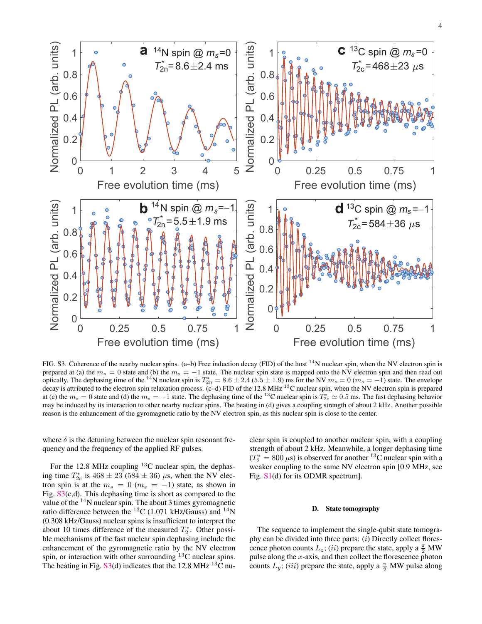

<span id="page-3-0"></span>FIG. S3. Coherence of the nearby nuclear spins. (a–b) Free induction decay (FID) of the host <sup>14</sup>N nuclear spin, when the NV electron spin is prepared at (a) the  $m_s = 0$  state and (b) the  $m_s = -1$  state. The nuclear spin state is mapped onto the NV electron spin and then read out optically. The dephasing time of the <sup>14</sup>N nuclear spin is  $T_{2n}^* = 8.6 \pm 2.4$  (5.5  $\pm$  1.9) ms for the NV  $m_s = 0$  ( $m_s = -1$ ) state. The envelope decay is attributed to the electron spin relaxation process. (c–d) FID of at (c) the  $m_s = 0$  state and (d) the  $m_s = -1$  state. The dephasing time of the <sup>13</sup>C nuclear spin is  $T_{2c}^* \simeq 0.5$  ms. The fast dephasing behavior may be induced by its interaction to other nearby nuclear spins. The beating in (d) gives a coupling strength of about 2 kHz. Another possible reason is the enhancement of the gyromagnetic ratio by the NV electron spin, as this nuclear spin is close to the center.

where  $\delta$  is the detuning between the nuclear spin resonant frequency and the frequency of the applied RF pulses.

For the 12.8 MHz coupling  $^{13}$ C nuclear spin, the dephasing time  $T_{2c}^*$  is  $468 \pm 23$  ( $584 \pm 36$ )  $\mu$ s, when the NV electron spin is at the  $m_s = 0$  ( $m_s = -1$ ) state, as shown in Fig. [S3\(](#page-3-0)c,d). This dephasing time is short as compared to the value of the  $14$ N nuclear spin. The about 3 times gyromagnetic ratio difference between the <sup>13</sup>C (1.071 kHz/Gauss) and <sup>14</sup>N (0.308 kHz/Gauss) nuclear spins is insufficient to interpret the about 10 times difference of the measured  $T_2^*$ . Other possible mechanisms of the fast nuclear spin dephasing include the enhancement of the gyromagnetic ratio by the NV electron spin, or interaction with other surrounding  $^{13}$ C nuclear spins. The beating in Fig.  $S3(d)$  $S3(d)$  indicates that the 12.8 MHz <sup>13</sup>C nuclear spin is coupled to another nuclear spin, with a coupling strength of about 2 kHz. Meanwhile, a longer dephasing time  $(T_2^* = 800 \,\mu s)$  is observed for another <sup>13</sup>C nuclear spin with a weaker coupling to the same NV electron spin [0.9 MHz, see Fig. [S1\(](#page-1-0)d) for its ODMR spectrum].

### D. State tomography

The sequence to implement the single-qubit state tomography can be divided into three parts: (*i*) Directly collect florescence photon counts  $L_z$ ; (*ii*) prepare the state, apply a  $\frac{\pi}{2}$  MW pulse along the *x*-axis, and then collect the florescence photon counts  $L_y$ ; (*iii*) prepare the state, apply a  $\frac{\pi}{2}$  MW pulse along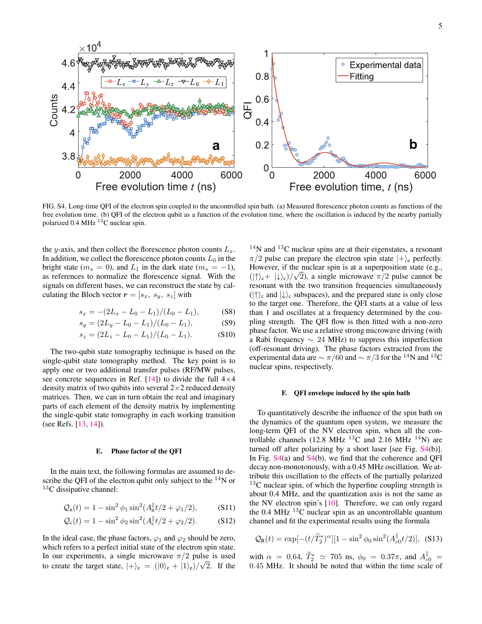

<span id="page-4-0"></span>FIG. S4. Long-time QFI of the electron spin coupled to the uncontrolled spin bath. (a) Measured florescence photon counts as functions of the free evolution time. (b) QFI of the electron qubit as a function of the evolution time, where the oscillation is induced by the nearby partially polarized 0.4 MHz  $^{13}$ C nuclear spin.

the *y*-axis, and then collect the florescence photon counts  $L<sub>x</sub>$ . In addition, we collect the florescence photon counts  $L_0$  in the bright state ( $m_s = 0$ ), and  $L_1$  in the dark state ( $m_s = -1$ ), as references to normalize the florescence signal. With the signals on different bases, we can reconstruct the state by calculating the Bloch vector  $\mathbf{r} = [s_x, s_y, s_z]$  with

$$
s_x = -(2L_x - L_0 - L_1)/(L_0 - L_1),
$$
 (S8)

$$
s_y = (2L_y - L_0 - L_1)/(L_0 - L_1),
$$
 (S9)

$$
s_z = (2L_z - L_0 - L_1)/(L_0 - L_1). \tag{S10}
$$

The two-qubit state tomography technique is based on the single-qubit state tomography method. The key point is to apply one or two additional transfer pulses (RF/MW pulses, see concrete sequences in Ref. [[14\]](#page-5-12)) to divide the full 4*×*4 density matrix of two qubits into several 2*×*2 reduced density matrices. Then, we can in turn obtain the real and imaginary parts of each element of the density matrix by implementing the single-qubit state tomography in each working transition (see Refs. [\[13](#page-5-11), [14\]](#page-5-12)).

### E. Phase factor of the QFI

In the main text, the following formulas are assumed to describe the QFI of the electron qubit only subject to the  $^{14}N$  or  $13C$  dissipative channel:

$$
Q_n(t) = 1 - \sin^2 \phi_1 \sin^2(A_n^{\parallel} t/2 + \varphi_1/2), \quad (S11)
$$

$$
Q_c(t) = 1 - \sin^2 \phi_2 \sin^2(A_c^{\parallel} t/2 + \varphi_2/2). \tag{S12}
$$

In the ideal case, the phase factors,  $\varphi_1$  and  $\varphi_2$  should be zero, which refers to a perfect initial state of the electron spin state. In our experiments, a single microwave  $\pi/2$  pulse is used to create the target state,  $|+\rangle_e = (|0\rangle_e + |1\rangle_e)/\sqrt{2}$ . If the

<span id="page-4-2"></span><span id="page-4-1"></span> $14$ N and  $13$ C nuclear spins are at their eigenstates, a resonant *π/*2 pulse can prepare the electron spin state *|*+*⟩*<sup>e</sup> perfectly. However, if the nuclear spin is at a superposition state (e.g., *√*  $(|\uparrow\rangle_c + |\downarrow\rangle_c)/\sqrt{2}$ , a single microwave  $\pi/2$  pulse cannot be resonant with the two transition frequencies simultaneously (*|↑⟩*<sup>c</sup> and *|↓⟩*<sup>c</sup> subspaces), and the prepared state is only close to the target one. Therefore, the QFI starts at a value of less than 1 and oscillates at a frequency determined by the coupling strength. The QFI flow is then fitted with a non-zero phase factor. We use a relative strong microwave driving (with a Rabi frequency *∼* 24 MHz) to suppress this imperfection (off-resonant driving). The phase factors extracted from the experimental data are  $\sim \pi/60$  and  $\sim \pi/3$  for the <sup>14</sup>N and <sup>13</sup>C nuclear spins, respectively.

#### F. QFI envelope induced by the spin bath

To quantitatively describe the influence of the spin bath on the dynamics of the quantum open system, we measure the long-term QFI of the NV electron spin, when all the controllable channels (12.8 MHz  $^{13}$ C and 2.16 MHz  $^{14}$ N) are turned off after polarizing by a short laser [see Fig. [S4\(](#page-4-0)b)]. In Fig. [S4](#page-4-0)(a) and [S4](#page-4-0)(b), we find that the coherence and QFI decay non-monotonously, with a 0.45 MHz oscillation. We attribute this oscillation to the effects of the partially polarized  $13<sup>C</sup>$  nuclear spin, of which the hyperfine coupling strength is about 0.4 MHz, and the quantization axis is not the same as the NV electron spin's [\[10](#page-5-8)]. Therefore, we can only regard the 0.4 MHz  $^{13}$ C nuclear spin as an uncontrollable quantum channel and fit the experimental results using the formula

$$
Q_{\rm R}(t) = \exp[-(t/\tilde{T}_2^*)^{\alpha}][1 - \sin^2 \phi_0 \sin^2(A_{c0}^{\parallel} t/2)],
$$
 (S13)

with  $\alpha = 0.64$ ,  $T_2^* \simeq 705$  ns,  $\phi_0 = 0.37\pi$ , and  $A_{c0}^{\parallel} =$ 0*.*45 MHz. It should be noted that within the time scale of